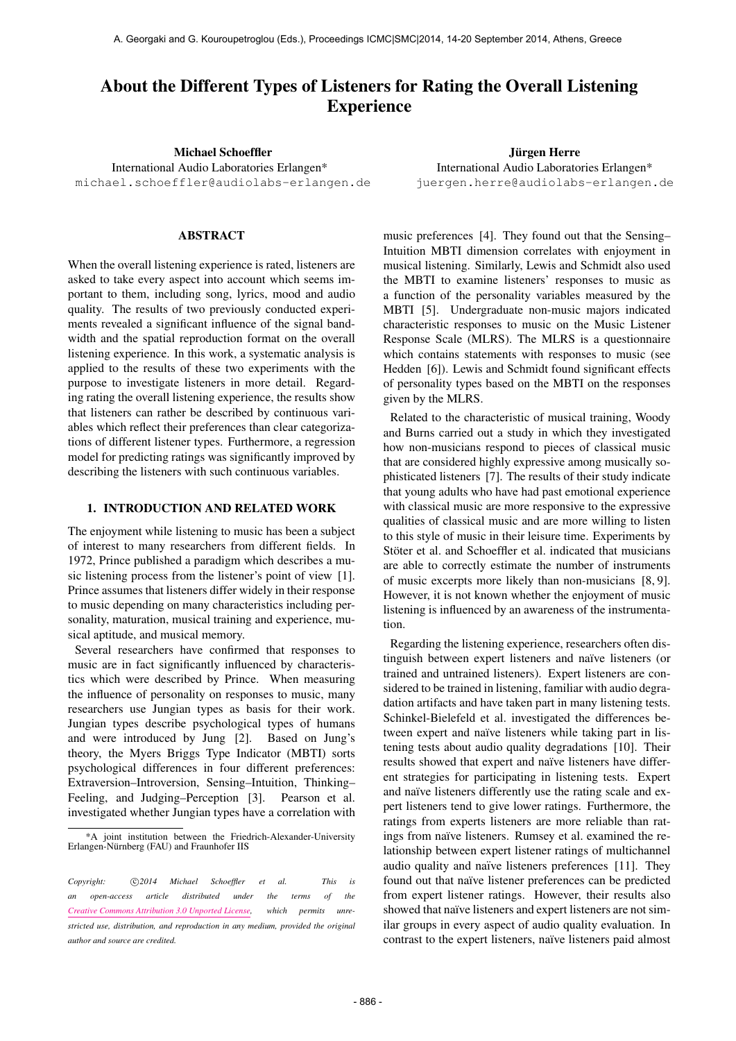# About the Different Types of Listeners for Rating the Overall Listening Experience

Michael Schoeffler

International Audio Laboratories Erlangen\* [michael.schoeffler@audiolabs-erlangen.de](mailto:michael.schoeffler@audiolabs-erlangen.de)

# ABSTRACT

When the overall listening experience is rated, listeners are asked to take every aspect into account which seems important to them, including song, lyrics, mood and audio quality. The results of two previously conducted experiments revealed a significant influence of the signal bandwidth and the spatial reproduction format on the overall listening experience. In this work, a systematic analysis is applied to the results of these two experiments with the purpose to investigate listeners in more detail. Regarding rating the overall listening experience, the results show that listeners can rather be described by continuous variables which reflect their preferences than clear categorizations of different listener types. Furthermore, a regression model for predicting ratings was significantly improved by describing the listeners with such continuous variables.

## 1. INTRODUCTION AND RELATED WORK

The enjoyment while listening to music has been a subject of interest to many researchers from different fields. In 1972, Prince published a paradigm which describes a music listening process from the listener's point of view [1]. Prince assumes that listeners differ widely in their response to music depending on many characteristics including personality, maturation, musical training and experience, musical aptitude, and musical memory.

Several researchers have confirmed that responses to music are in fact significantly influenced by characteristics which were described by Prince. When measuring the influence of personality on responses to music, many researchers use Jungian types as basis for their work. Jungian types describe psychological types of humans and were introduced by Jung [2]. Based on Jung's theory, the Myers Briggs Type Indicator (MBTI) sorts psychological differences in four different preferences: Extraversion–Introversion, Sensing–Intuition, Thinking– Feeling, and Judging–Perception [3]. Pearson et al. investigated whether Jungian types have a correlation with

Jürgen Herre International Audio Laboratories Erlangen\* [juergen.herre@audiolabs-erlangen.de](mailto:juergen.herre@audiolabs-erlangen.de)

music preferences [4]. They found out that the Sensing– Intuition MBTI dimension correlates with enjoyment in musical listening. Similarly, Lewis and Schmidt also used the MBTI to examine listeners' responses to music as a function of the personality variables measured by the MBTI [5]. Undergraduate non-music majors indicated characteristic responses to music on the Music Listener Response Scale (MLRS). The MLRS is a questionnaire which contains statements with responses to music (see Hedden [6]). Lewis and Schmidt found significant effects of personality types based on the MBTI on the responses given by the MLRS.

Related to the characteristic of musical training, Woody and Burns carried out a study in which they investigated how non-musicians respond to pieces of classical music that are considered highly expressive among musically sophisticated listeners [7]. The results of their study indicate that young adults who have had past emotional experience with classical music are more responsive to the expressive qualities of classical music and are more willing to listen to this style of music in their leisure time. Experiments by Stöter et al. and Schoeffler et al. indicated that musicians are able to correctly estimate the number of instruments of music excerpts more likely than non-musicians [8, 9]. However, it is not known whether the enjoyment of music listening is influenced by an awareness of the instrumentation.

Regarding the listening experience, researchers often distinguish between expert listeners and naïve listeners (or trained and untrained listeners). Expert listeners are considered to be trained in listening, familiar with audio degradation artifacts and have taken part in many listening tests. Schinkel-Bielefeld et al. investigated the differences between expert and naïve listeners while taking part in listening tests about audio quality degradations [10]. Their results showed that expert and naïve listeners have different strategies for participating in listening tests. Expert and naïve listeners differently use the rating scale and expert listeners tend to give lower ratings. Furthermore, the ratings from experts listeners are more reliable than ratings from naïve listeners. Rumsey et al. examined the relationship between expert listener ratings of multichannel audio quality and naïve listeners preferences [11]. They found out that naïve listener preferences can be predicted from expert listener ratings. However, their results also showed that naïve listeners and expert listeners are not similar groups in every aspect of audio quality evaluation. In contrast to the expert listeners, naïve listeners paid almost

<sup>\*</sup>A joint institution between the Friedrich-Alexander-University Erlangen-Nürnberg (FAU) and Fraunhofer IIS

Copyright:  $\bigcirc$ 2014 Michael Schoeffler et al. This is *an open-access article distributed under the terms of the [Creative Commons Attribution 3.0 Unported License,](http://creativecommons.org/licenses/by/3.0/) which permits unrestricted use, distribution, and reproduction in any medium, provided the original author and source are credited.*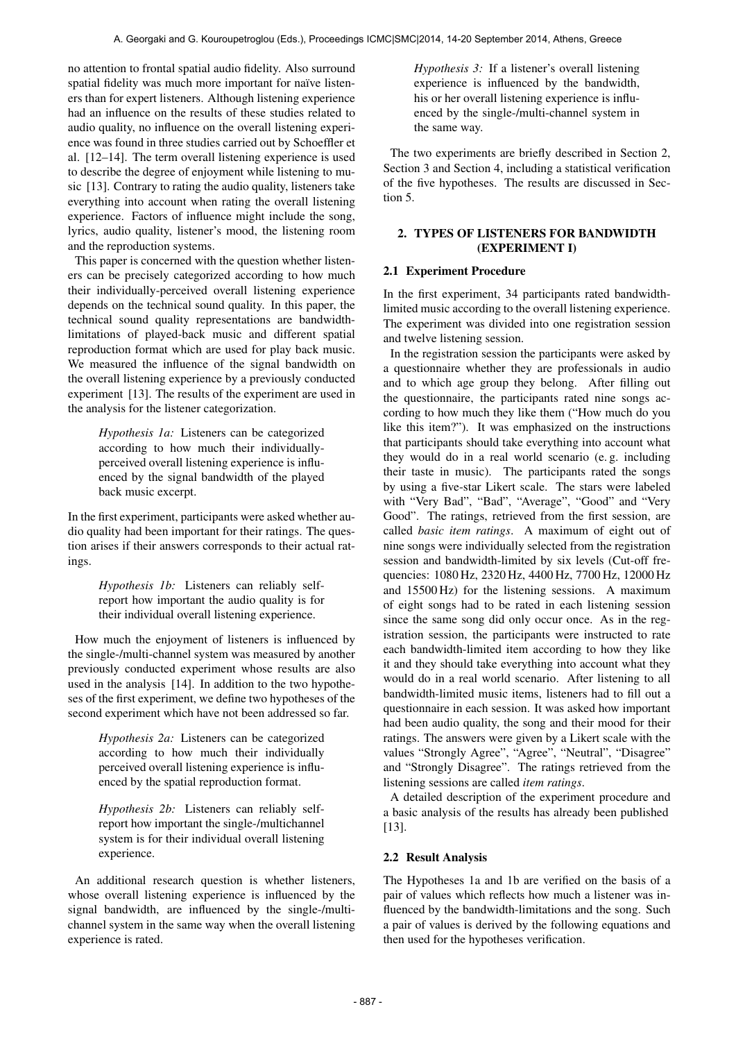no attention to frontal spatial audio fidelity. Also surround spatial fidelity was much more important for naïve listeners than for expert listeners. Although listening experience had an influence on the results of these studies related to audio quality, no influence on the overall listening experience was found in three studies carried out by Schoeffler et al. [12–14]. The term overall listening experience is used to describe the degree of enjoyment while listening to music [13]. Contrary to rating the audio quality, listeners take everything into account when rating the overall listening experience. Factors of influence might include the song, lyrics, audio quality, listener's mood, the listening room and the reproduction systems.

This paper is concerned with the question whether listeners can be precisely categorized according to how much their individually-perceived overall listening experience depends on the technical sound quality. In this paper, the technical sound quality representations are bandwidthlimitations of played-back music and different spatial reproduction format which are used for play back music. We measured the influence of the signal bandwidth on the overall listening experience by a previously conducted experiment [13]. The results of the experiment are used in the analysis for the listener categorization.

> *Hypothesis 1a:* Listeners can be categorized according to how much their individuallyperceived overall listening experience is influenced by the signal bandwidth of the played back music excerpt.

In the first experiment, participants were asked whether audio quality had been important for their ratings. The question arises if their answers corresponds to their actual ratings.

> *Hypothesis 1b:* Listeners can reliably selfreport how important the audio quality is for their individual overall listening experience.

How much the enjoyment of listeners is influenced by the single-/multi-channel system was measured by another previously conducted experiment whose results are also used in the analysis [14]. In addition to the two hypotheses of the first experiment, we define two hypotheses of the second experiment which have not been addressed so far.

> *Hypothesis 2a:* Listeners can be categorized according to how much their individually perceived overall listening experience is influenced by the spatial reproduction format.

> *Hypothesis 2b:* Listeners can reliably selfreport how important the single-/multichannel system is for their individual overall listening experience.

An additional research question is whether listeners, whose overall listening experience is influenced by the signal bandwidth, are influenced by the single-/multichannel system in the same way when the overall listening experience is rated.

*Hypothesis 3:* If a listener's overall listening experience is influenced by the bandwidth, his or her overall listening experience is influenced by the single-/multi-channel system in the same way.

The two experiments are briefly described in Section 2, Section 3 and Section 4, including a statistical verification of the five hypotheses. The results are discussed in Section 5.

# 2. TYPES OF LISTENERS FOR BANDWIDTH (EXPERIMENT I)

# 2.1 Experiment Procedure

In the first experiment, 34 participants rated bandwidthlimited music according to the overall listening experience. The experiment was divided into one registration session and twelve listening session.

In the registration session the participants were asked by a questionnaire whether they are professionals in audio and to which age group they belong. After filling out the questionnaire, the participants rated nine songs according to how much they like them ("How much do you like this item?"). It was emphasized on the instructions that participants should take everything into account what they would do in a real world scenario (e. g. including their taste in music). The participants rated the songs by using a five-star Likert scale. The stars were labeled with "Very Bad", "Bad", "Average", "Good" and "Very Good". The ratings, retrieved from the first session, are called *basic item ratings*. A maximum of eight out of nine songs were individually selected from the registration session and bandwidth-limited by six levels (Cut-off frequencies: 1080 Hz, 2320 Hz, 4400 Hz, 7700 Hz, 12000 Hz and 15500 Hz) for the listening sessions. A maximum of eight songs had to be rated in each listening session since the same song did only occur once. As in the registration session, the participants were instructed to rate each bandwidth-limited item according to how they like it and they should take everything into account what they would do in a real world scenario. After listening to all bandwidth-limited music items, listeners had to fill out a questionnaire in each session. It was asked how important had been audio quality, the song and their mood for their ratings. The answers were given by a Likert scale with the values "Strongly Agree", "Agree", "Neutral", "Disagree" and "Strongly Disagree". The ratings retrieved from the listening sessions are called *item ratings*.

A detailed description of the experiment procedure and a basic analysis of the results has already been published [13].

# 2.2 Result Analysis

The Hypotheses 1a and 1b are verified on the basis of a pair of values which reflects how much a listener was influenced by the bandwidth-limitations and the song. Such a pair of values is derived by the following equations and then used for the hypotheses verification.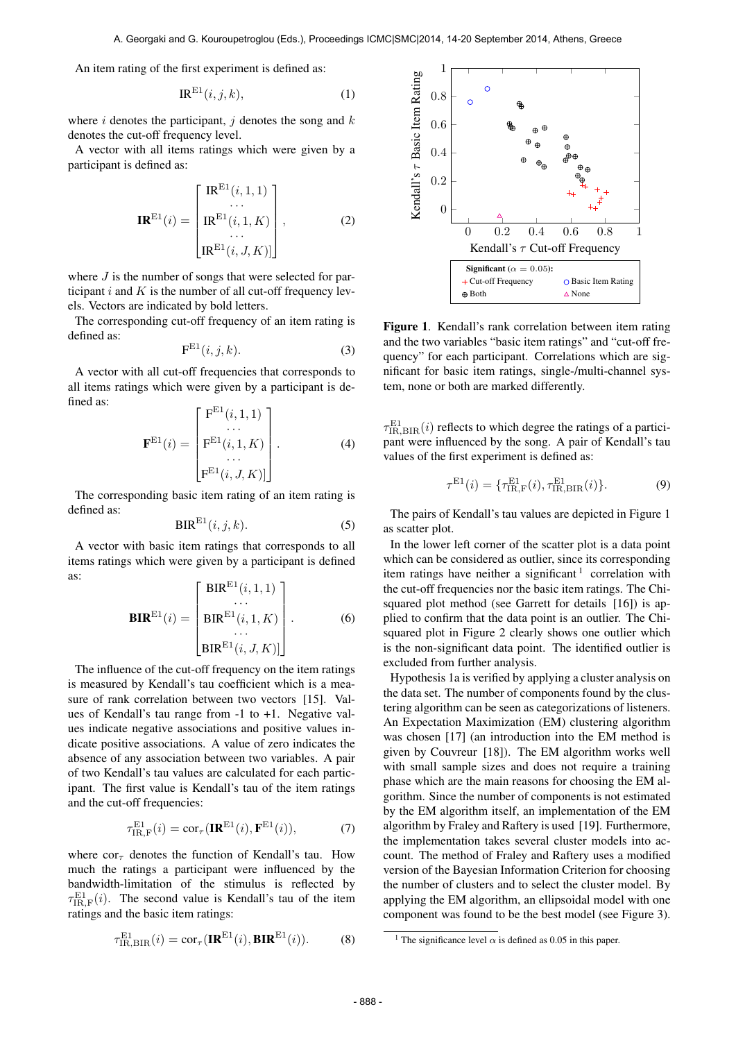An item rating of the first experiment is defined as:

$$
IR^{E1}(i,j,k), \tag{1}
$$

where i denotes the participant, j denotes the song and  $k$ denotes the cut-off frequency level.

A vector with all items ratings which were given by a participant is defined as:

$$
\mathbf{IR}^{\mathrm{E1}}(i) = \begin{bmatrix} \mathrm{IR}^{\mathrm{E1}}(i,1,1) \\ \cdots \\ \mathrm{IR}^{\mathrm{E1}}(i,1,K) \\ \cdots \\ \mathrm{IR}^{\mathrm{E1}}(i,J,K) \end{bmatrix},
$$
 (2)

where  $J$  is the number of songs that were selected for participant  $i$  and  $K$  is the number of all cut-off frequency levels. Vectors are indicated by bold letters.

The corresponding cut-off frequency of an item rating is defined as:

$$
\mathbf{F}^{\mathrm{E1}}(i,j,k). \tag{3}
$$

A vector with all cut-off frequencies that corresponds to all items ratings which were given by a participant is defined as:

$$
\mathbf{F}^{\mathrm{E1}}(i) = \begin{bmatrix} \mathbf{F}^{\mathrm{E1}}(i,1,1) \\ \cdots \\ \mathbf{F}^{\mathrm{E1}}(i,1,K) \\ \cdots \\ \mathbf{F}^{\mathrm{E1}}(i,J,K) \end{bmatrix} . \tag{4}
$$

The corresponding basic item rating of an item rating is defined as:

$$
BIRE1(i, j, k).
$$
 (5)

A vector with basic item ratings that corresponds to all items ratings which were given by a participant is defined as:

$$
\mathbf{BIR}^{\mathrm{E1}}(i) = \begin{bmatrix} \text{BIR}^{\mathrm{E1}}(i,1,1) \\ \dots \\ \text{BIR}^{\mathrm{E1}}(i,1,K) \\ \dots \\ \text{BIR}^{\mathrm{E1}}(i,J,K) \end{bmatrix} .
$$
 (6)

The influence of the cut-off frequency on the item ratings is measured by Kendall's tau coefficient which is a measure of rank correlation between two vectors [15]. Values of Kendall's tau range from -1 to +1. Negative values indicate negative associations and positive values indicate positive associations. A value of zero indicates the absence of any association between two variables. A pair of two Kendall's tau values are calculated for each participant. The first value is Kendall's tau of the item ratings and the cut-off frequencies:

$$
\tau_{\text{IR},\text{F}}^{\text{E1}}(i) = \text{cor}_{\tau}(\mathbf{IR}^{\text{E1}}(i), \mathbf{F}^{\text{E1}}(i)),\tag{7}
$$

where  $\text{cor}_{\tau}$  denotes the function of Kendall's tau. How much the ratings a participant were influenced by the bandwidth-limitation of the stimulus is reflected by  $\tau_{\text{IR},\text{F}}^{\text{E1}}(i)$ . The second value is Kendall's tau of the item ratings and the basic item ratings:

$$
\tau_{\text{IR,BIR}}^{\text{E1}}(i) = \text{cor}_{\tau}(\mathbf{IR}^{\text{E1}}(i), \mathbf{BIR}^{\text{E1}}(i)).
$$
 (8)



Figure 1. Kendall's rank correlation between item rating and the two variables "basic item ratings" and "cut-off frequency" for each participant. Correlations which are significant for basic item ratings, single-/multi-channel system, none or both are marked differently.

 $\tau_{\text{IR,BIR}}^{\text{E1}}(i)$  reflects to which degree the ratings of a participant were influenced by the song. A pair of Kendall's tau values of the first experiment is defined as:

$$
\tau^{\text{E1}}(i) = \{ \tau^{\text{E1}}_{\text{IR},\text{F}}(i), \tau^{\text{E1}}_{\text{IR},\text{BIR}}(i) \}. \tag{9}
$$

The pairs of Kendall's tau values are depicted in Figure 1 as scatter plot.

In the lower left corner of the scatter plot is a data point which can be considered as outlier, since its corresponding item ratings have neither a significant<sup>1</sup> correlation with the cut-off frequencies nor the basic item ratings. The Chisquared plot method (see Garrett for details [16]) is applied to confirm that the data point is an outlier. The Chisquared plot in Figure 2 clearly shows one outlier which is the non-significant data point. The identified outlier is excluded from further analysis.

Hypothesis 1a is verified by applying a cluster analysis on the data set. The number of components found by the clustering algorithm can be seen as categorizations of listeners. An Expectation Maximization (EM) clustering algorithm was chosen [17] (an introduction into the EM method is given by Couvreur [18]). The EM algorithm works well with small sample sizes and does not require a training phase which are the main reasons for choosing the EM algorithm. Since the number of components is not estimated by the EM algorithm itself, an implementation of the EM algorithm by Fraley and Raftery is used [19]. Furthermore, the implementation takes several cluster models into account. The method of Fraley and Raftery uses a modified version of the Bayesian Information Criterion for choosing the number of clusters and to select the cluster model. By applying the EM algorithm, an ellipsoidal model with one component was found to be the best model (see Figure 3).

<sup>&</sup>lt;sup>1</sup> The significance level  $\alpha$  is defined as 0.05 in this paper.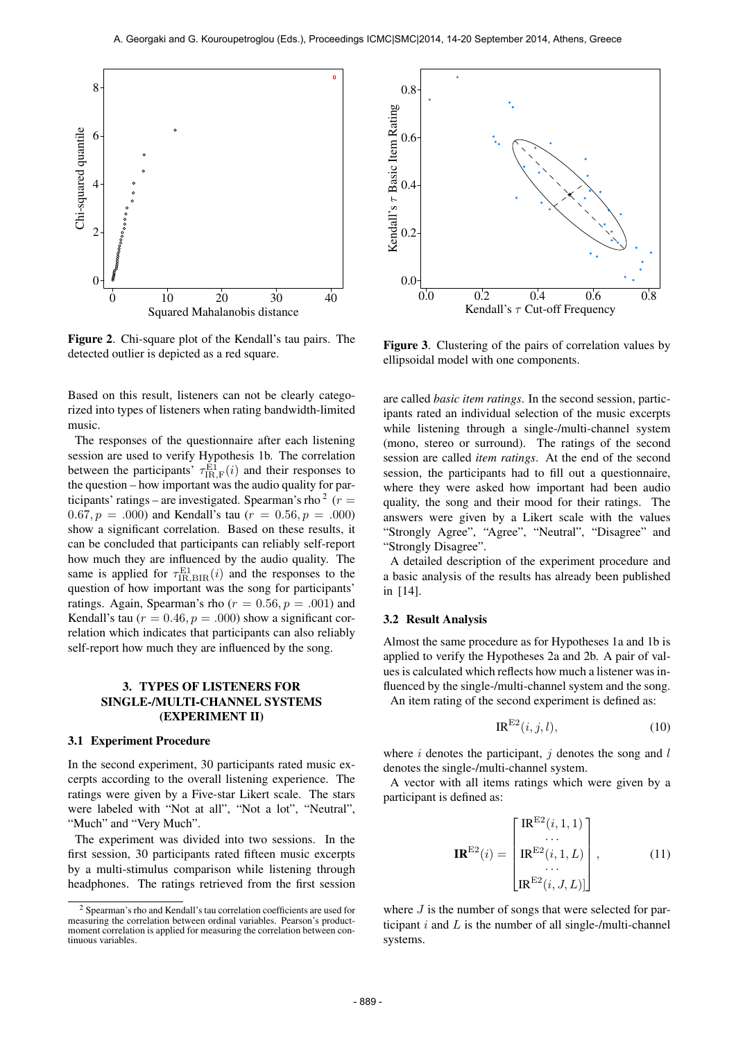

Figure 2. Chi-square plot of the Kendall's tau pairs. The detected outlier is depicted as a red square.

Based on this result, listeners can not be clearly categorized into types of listeners when rating bandwidth-limited music.

The responses of the questionnaire after each listening session are used to verify Hypothesis 1b. The correlation between the participants'  $\tau_{IR,F}^{E1}(i)$  and their responses to the question – how important was the audio quality for participants' ratings – are investigated. Spearman's rho  $2(r=$  $(0.67, p = .000)$  and Kendall's tau  $(r = 0.56, p = .000)$ show a significant correlation. Based on these results, it can be concluded that participants can reliably self-report how much they are influenced by the audio quality. The same is applied for  $\tau_{\text{IR,BIR}}^{\text{E1}}(i)$  and the responses to the question of how important was the song for participants' ratings. Again, Spearman's rho ( $r = 0.56$ ,  $p = .001$ ) and Kendall's tau ( $r = 0.46$ ,  $p = .000$ ) show a significant correlation which indicates that participants can also reliably self-report how much they are influenced by the song.

## 3. TYPES OF LISTENERS FOR SINGLE-/MULTI-CHANNEL SYSTEMS (EXPERIMENT II)

#### 3.1 Experiment Procedure

In the second experiment, 30 participants rated music excerpts according to the overall listening experience. The ratings were given by a Five-star Likert scale. The stars were labeled with "Not at all", "Not a lot", "Neutral", "Much" and "Very Much".

The experiment was divided into two sessions. In the first session, 30 participants rated fifteen music excerpts by a multi-stimulus comparison while listening through headphones. The ratings retrieved from the first session



Figure 3. Clustering of the pairs of correlation values by ellipsoidal model with one components.

are called *basic item ratings*. In the second session, participants rated an individual selection of the music excerpts while listening through a single-/multi-channel system (mono, stereo or surround). The ratings of the second session are called *item ratings*. At the end of the second session, the participants had to fill out a questionnaire, where they were asked how important had been audio quality, the song and their mood for their ratings. The answers were given by a Likert scale with the values "Strongly Agree", "Agree", "Neutral", "Disagree" and "Strongly Disagree".

A detailed description of the experiment procedure and a basic analysis of the results has already been published in [14].

#### 3.2 Result Analysis

Almost the same procedure as for Hypotheses 1a and 1b is applied to verify the Hypotheses 2a and 2b. A pair of values is calculated which reflects how much a listener was influenced by the single-/multi-channel system and the song. An item rating of the second experiment is defined as:

$$
IR^{E2}(i,j,l),\tag{10}
$$

where  $i$  denotes the participant,  $j$  denotes the song and  $l$ denotes the single-/multi-channel system.

A vector with all items ratings which were given by a participant is defined as:

$$
\mathbf{IR}^{\mathrm{E2}}(i) = \begin{bmatrix} \mathrm{IR}^{\mathrm{E2}}(i,1,1) \\ \cdots \\ \mathrm{IR}^{\mathrm{E2}}(i,1,L) \\ \cdots \\ \mathrm{IR}^{\mathrm{E2}}(i,J,L)] \end{bmatrix}, \tag{11}
$$

where  $J$  is the number of songs that were selected for participant  $i$  and  $L$  is the number of all single-/multi-channel systems.

<sup>2</sup> Spearman's rho and Kendall's tau correlation coefficients are used for measuring the correlation between ordinal variables. Pearson's productmoment correlation is applied for measuring the correlation between continuous variables.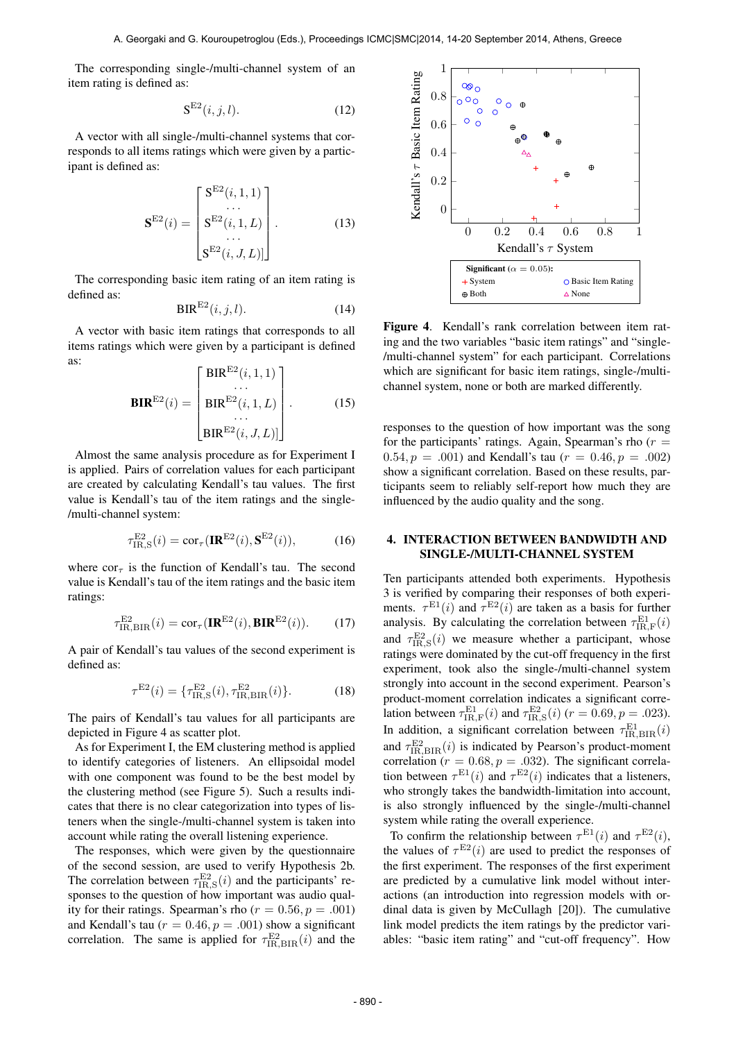The corresponding single-/multi-channel system of an item rating is defined as:

$$
\mathbf{S}^{\mathrm{E2}}(i,j,l). \tag{12}
$$

A vector with all single-/multi-channel systems that corresponds to all items ratings which were given by a participant is defined as:

$$
\mathbf{S}^{\mathrm{E2}}(i) = \begin{bmatrix} \mathbf{S}^{\mathrm{E2}}(i,1,1) \\ \dots \\ \mathbf{S}^{\mathrm{E2}}(i,1,L) \\ \dots \\ \mathbf{S}^{\mathrm{E2}}(i,J,L)] \end{bmatrix} .
$$
 (13)

The corresponding basic item rating of an item rating is defined as:

$$
BIR^{E2}(i,j,l). \tag{14}
$$

A vector with basic item ratings that corresponds to all items ratings which were given by a participant is defined as:

$$
\mathbf{BIR}^{\mathrm{E2}}(i) = \begin{bmatrix} \text{BIR}^{\mathrm{E2}}(i, 1, 1) \\ \dots \\ \text{BIR}^{\mathrm{E2}}(i, 1, L) \\ \dots \\ \text{BIR}^{\mathrm{E2}}(i, J, L)] \end{bmatrix} . \tag{15}
$$

Almost the same analysis procedure as for Experiment I is applied. Pairs of correlation values for each participant are created by calculating Kendall's tau values. The first value is Kendall's tau of the item ratings and the single- /multi-channel system:

$$
\tau_{\text{IR},\text{S}}^{\text{E2}}(i) = \text{cor}_{\tau}(\mathbf{IR}^{\text{E2}}(i), \mathbf{S}^{\text{E2}}(i)),\tag{16}
$$

where  $\text{cor}_{\tau}$  is the function of Kendall's tau. The second value is Kendall's tau of the item ratings and the basic item ratings:

$$
\tau_{\text{IR,BIR}}^{\text{E2}}(i) = \text{cor}_{\tau}(\mathbf{IR}^{\text{E2}}(i), \mathbf{BIR}^{\text{E2}}(i)).
$$
 (17)

A pair of Kendall's tau values of the second experiment is defined as:

$$
\tau^{E2}(i) = \{\tau_{\text{IR},\text{S}}^{E2}(i), \tau_{\text{IR},\text{BIR}}^{E2}(i)\}.
$$
 (18)

The pairs of Kendall's tau values for all participants are depicted in Figure 4 as scatter plot.

As for Experiment I, the EM clustering method is applied to identify categories of listeners. An ellipsoidal model with one component was found to be the best model by the clustering method (see Figure 5). Such a results indicates that there is no clear categorization into types of listeners when the single-/multi-channel system is taken into account while rating the overall listening experience.

The responses, which were given by the questionnaire of the second session, are used to verify Hypothesis 2b. The correlation between  $\tau_{IR,S}^{E2}(i)$  and the participants' responses to the question of how important was audio quality for their ratings. Spearman's rho ( $r = 0.56$ ,  $p = .001$ ) and Kendall's tau ( $r = 0.46$ ,  $p = .001$ ) show a significant correlation. The same is applied for  $\tau_{\text{IR,BIR}}^{\text{E2}}(i)$  and the



Figure 4. Kendall's rank correlation between item rating and the two variables "basic item ratings" and "single- /multi-channel system" for each participant. Correlations which are significant for basic item ratings, single-/multichannel system, none or both are marked differently.

responses to the question of how important was the song for the participants' ratings. Again, Spearman's rho  $(r =$ 0.54,  $p = .001$  and Kendall's tau  $(r = 0.46, p = .002)$ show a significant correlation. Based on these results, participants seem to reliably self-report how much they are influenced by the audio quality and the song.

## 4. INTERACTION BETWEEN BANDWIDTH AND SINGLE-/MULTI-CHANNEL SYSTEM

Ten participants attended both experiments. Hypothesis 3 is verified by comparing their responses of both experiments.  $\tau^{\text{E1}}(i)$  and  $\tau^{\text{E2}}(i)$  are taken as a basis for further analysis. By calculating the correlation between  $\tau_{\text{IR},\text{F}}^{\text{E1}}(i)$ and  $\tau_{\text{IR},\text{S}}^{\text{E2}}(i)$  we measure whether a participant, whose ratings were dominated by the cut-off frequency in the first experiment, took also the single-/multi-channel system strongly into account in the second experiment. Pearson's product-moment correlation indicates a significant correlation between  $\tau_{\text{IR,F}}^{\text{E1}}(i)$  and  $\tau_{\text{IR,S}}^{\text{E2}}(i)$  ( $r = 0.69, p = .023$ ). In addition, a significant correlation between  $\tau_{\text{IR,BIR}}^{\text{E1}}(i)$ and  $\tau_{\text{IR,BIR}}^{\text{E2}}(i)$  is indicated by Pearson's product-moment correlation ( $r = 0.68$ ,  $p = .032$ ). The significant correlation between  $\tau^{E1}(i)$  and  $\tau^{E2}(i)$  indicates that a listeners, who strongly takes the bandwidth-limitation into account, is also strongly influenced by the single-/multi-channel system while rating the overall experience.

To confirm the relationship between  $\tau^{E1}(i)$  and  $\tau^{E2}(i)$ , the values of  $\tau^{E2}(i)$  are used to predict the responses of the first experiment. The responses of the first experiment are predicted by a cumulative link model without interactions (an introduction into regression models with ordinal data is given by McCullagh [20]). The cumulative link model predicts the item ratings by the predictor variables: "basic item rating" and "cut-off frequency". How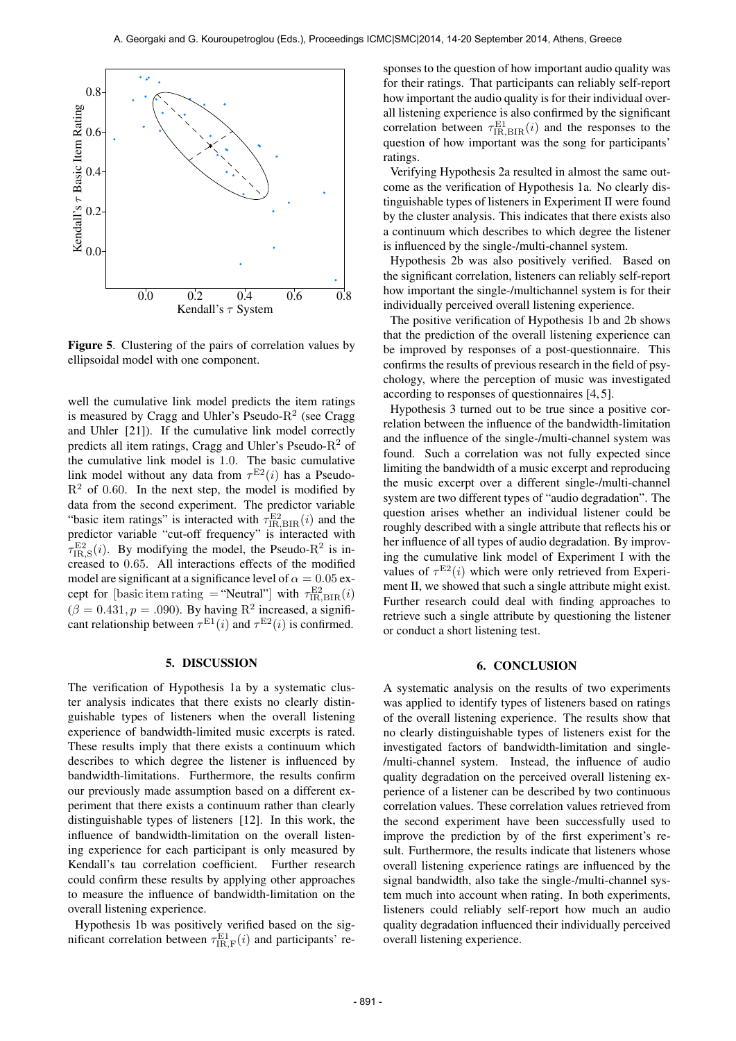

Figure 5. Clustering of the pairs of correlation values by ellipsoidal model with one component.

well the cumulative link model predicts the item ratings is measured by Cragg and Uhler's Pseudo- $R^2$  (see Cragg and Uhler [21]). If the cumulative link model correctly predicts all item ratings, Cragg and Uhler's Pseudo- $R^2$  of the cumulative link model is 1.0. The basic cumulative link model without any data from  $\tau^{E2}(i)$  has a Pseudo- $R<sup>2</sup>$  of 0.60. In the next step, the model is modified by data from the second experiment. The predictor variable "basic item ratings" is interacted with  $\tau_{\text{IR,BIR}}^{\text{E2}}(i)$  and the predictor variable "cut-off frequency" is interacted with  $\tau_{\text{IR},\text{S}}^{\text{E2}}(i)$ . By modifying the model, the Pseudo- $\mathbb{R}^2$  is increased to 0.65. All interactions effects of the modified model are significant at a significance level of  $\alpha = 0.05$  except for [basic item rating = "Neutral"] with  $\tau_{\text{IR,BIR}}^{\text{E2}}(i)$  $(\beta = 0.431, p = .090)$ . By having R<sup>2</sup> increased, a significant relationship between  $\tau^{E1}(i)$  and  $\tau^{E2}(i)$  is confirmed.

## 5. DISCUSSION

The verification of Hypothesis 1a by a systematic cluster analysis indicates that there exists no clearly distinguishable types of listeners when the overall listening experience of bandwidth-limited music excerpts is rated. These results imply that there exists a continuum which describes to which degree the listener is influenced by bandwidth-limitations. Furthermore, the results confirm our previously made assumption based on a different experiment that there exists a continuum rather than clearly distinguishable types of listeners [12]. In this work, the influence of bandwidth-limitation on the overall listening experience for each participant is only measured by Kendall's tau correlation coefficient. Further research could confirm these results by applying other approaches to measure the influence of bandwidth-limitation on the overall listening experience.

Hypothesis 1b was positively verified based on the significant correlation between  $\tau_{\text{IR},\text{F}}^{\text{E1}}(i)$  and participants' responses to the question of how important audio quality was for their ratings. That participants can reliably self-report how important the audio quality is for their individual overall listening experience is also confirmed by the significant correlation between  $\tau_{\text{IR,BIR}}^{\text{E1}}(i)$  and the responses to the question of how important was the song for participants' ratings.

Verifying Hypothesis 2a resulted in almost the same outcome as the verification of Hypothesis 1a. No clearly distinguishable types of listeners in Experiment II were found by the cluster analysis. This indicates that there exists also a continuum which describes to which degree the listener is influenced by the single-/multi-channel system.

Hypothesis 2b was also positively verified. Based on the significant correlation, listeners can reliably self-report how important the single-/multichannel system is for their individually perceived overall listening experience.

The positive verification of Hypothesis 1b and 2b shows that the prediction of the overall listening experience can be improved by responses of a post-questionnaire. This confirms the results of previous research in the field of psychology, where the perception of music was investigated according to responses of questionnaires [4, 5].

Hypothesis 3 turned out to be true since a positive correlation between the influence of the bandwidth-limitation and the influence of the single-/multi-channel system was found. Such a correlation was not fully expected since limiting the bandwidth of a music excerpt and reproducing the music excerpt over a different single-/multi-channel system are two different types of "audio degradation". The question arises whether an individual listener could be roughly described with a single attribute that reflects his or her influence of all types of audio degradation. By improving the cumulative link model of Experiment I with the values of  $\tau^{E2}(i)$  which were only retrieved from Experiment II, we showed that such a single attribute might exist. Further research could deal with finding approaches to retrieve such a single attribute by questioning the listener or conduct a short listening test.

#### 6. CONCLUSION

A systematic analysis on the results of two experiments was applied to identify types of listeners based on ratings of the overall listening experience. The results show that no clearly distinguishable types of listeners exist for the investigated factors of bandwidth-limitation and single- /multi-channel system. Instead, the influence of audio quality degradation on the perceived overall listening experience of a listener can be described by two continuous correlation values. These correlation values retrieved from the second experiment have been successfully used to improve the prediction by of the first experiment's result. Furthermore, the results indicate that listeners whose overall listening experience ratings are influenced by the signal bandwidth, also take the single-/multi-channel system much into account when rating. In both experiments, listeners could reliably self-report how much an audio quality degradation influenced their individually perceived overall listening experience.